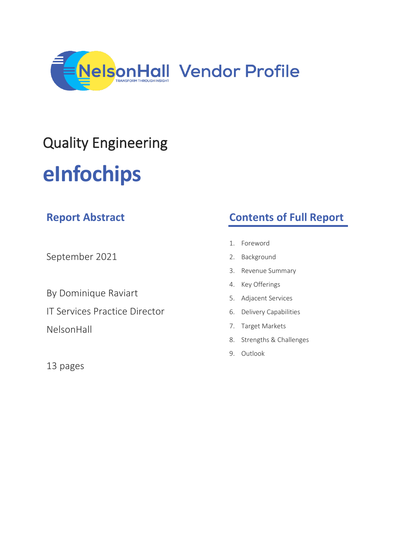

# Quality Engineering **eInfochips**

| <b>Report Abstract</b>               | <b>Contents of Full Report</b>                 |
|--------------------------------------|------------------------------------------------|
| September 2021                       | Foreword<br>$\mathbf{1}$ .<br>Background<br>2. |
|                                      | 3. Revenue Summary                             |
| By Dominique Raviart                 | 4. Key Offerings                               |
|                                      | 5. Adjacent Services                           |
| <b>IT Services Practice Director</b> | 6. Delivery Capabilities                       |
| NelsonHall                           | 7. Target Markets                              |
|                                      | 8. Strengths & Challenges                      |
|                                      | Outlook<br>9.                                  |
| 13 pages                             |                                                |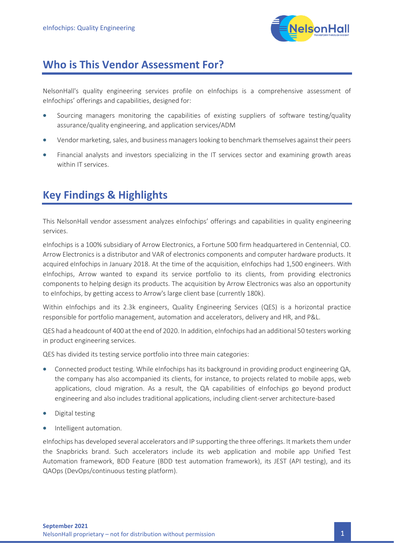

## **Who is This Vendor Assessment For?**

NelsonHall's quality engineering services profile on eInfochips is a comprehensive assessment of eInfochips' offerings and capabilities, designed for:

- Sourcing managers monitoring the capabilities of existing suppliers of software testing/quality assurance/quality engineering, and application services/ADM
- Vendor marketing,sales, and business managers looking to benchmark themselves against their peers
- Financial analysts and investors specializing in the IT services sector and examining growth areas within IT services.

# **Key Findings & Highlights**

This NelsonHall vendor assessment analyzes eInfochips' offerings and capabilities in quality engineering services.

eInfochips is a 100% subsidiary of Arrow Electronics, a Fortune 500 firm headquartered in Centennial, CO. Arrow Electronics is a distributor and VAR of electronics components and computer hardware products. It acquired eInfochips in January 2018. At the time of the acquisition, eInfochips had 1,500 engineers. With eInfochips, Arrow wanted to expand its service portfolio to its clients, from providing electronics components to helping design its products. The acquisition by Arrow Electronics was also an opportunity to eInfochips, by getting access to Arrow's large client base (currently 180k).

Within eInfochips and its 2.3k engineers, Quality Engineering Services (QES) is a horizontal practice responsible for portfolio management, automation and accelerators, delivery and HR, and P&L.

QES had a headcount of 400 at the end of 2020. In addition, eInfochips had an additional 50 testers working in product engineering services.

QES has divided its testing service portfolio into three main categories:

- Connected product testing. While eInfochips has its background in providing product engineering QA, the company has also accompanied its clients, for instance, to projects related to mobile apps, web applications, cloud migration. As a result, the QA capabilities of eInfochips go beyond product engineering and also includes traditional applications, including client-server architecture-based
- Digital testing
- Intelligent automation.

eInfochips has developed several accelerators and IP supporting the three offerings. It markets them under the Snapbricks brand. Such accelerators include its web application and mobile app Unified Test Automation framework, BDD Feature (BDD test automation framework), its JEST (API testing), and its QAOps (DevOps/continuous testing platform).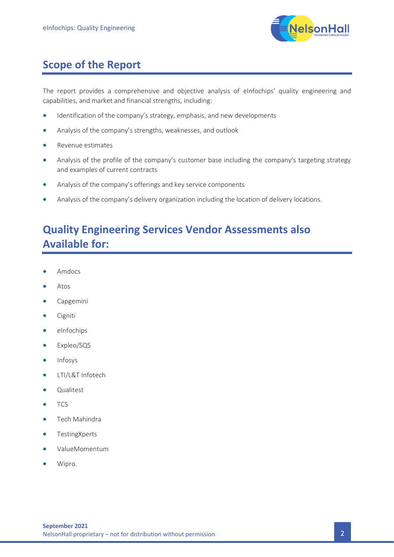

## **Scope of the Report**

The report provides a comprehensive and objective analysis of eInfochips' quality engineering and capabilities, and market and financial strengths, including:

- Identification of the company's strategy, emphasis, and new developments
- Analysis of the company's strengths, weaknesses, and outlook
- Revenue estimates
- Analysis of the profile of the company's customer base including the company's targeting strategy and examples of current contracts
- Analysis of the company's offerings and key service components
- Analysis of the company's delivery organization including the location of delivery locations.

# **Quality Engineering Services Vendor Assessments also Available for:**

- Amdocs
- Atos
- Capgemini
- Cigniti
- eInfochips
- Expleo/SQS
- Infosys
- LTI/L&T Infotech
- Qualitest
- TCS
- Tech Mahindra
- TestingXperts
- ValueMomentum
- Wipro.